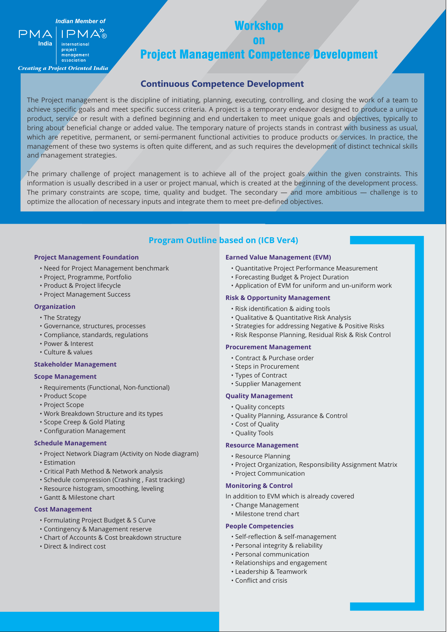Workshop

on

Project Management Competence Development

## **Continuous Competence Development**

The Project management is the discipline of initiating, planning, executing, controlling, and closing the work of a team to achieve specific goals and meet specific success criteria. A project is a temporary endeavor designed to produce a unique product, service or result with a defined beginning and end undertaken to meet unique goals and objectives, typically to bring about beneficial change or added value. The temporary nature of projects stands in contrast with business as usual, which are repetitive, permanent, or semi-permanent functional activities to produce products or services. In practice, the management of these two systems is often quite different, and as such requires the development of distinct technical skills and management strategies.

The primary challenge of project management is to achieve all of the project goals within the given constraints. This information is usually described in a user or project manual, which is created at the beginning of the development process. The primary constraints are scope, time, quality and budget. The secondary — and more ambitious — challenge is to optimize the allocation of necessary inputs and integrate them to meet pre-defined objectives.

## **Program Outline based on (ICB Ver4)**

#### **Project Management Foundation**

Indian Member of

 $PMA$ 

®

**India**

 $PMA$ 

*Creating a Project Oriented India*

project management association

- Need for Project Management benchmark
- Project, Programme, Portfolio
- Product & Project lifecycle
- Project Management Success

#### **Organization**

- The Strategy
- Governance, structures, processes
- Compliance, standards, regulations
- Power & Interest
- Culture & values

### **Stakeholder Management**

#### **Scope Management**

- Requirements (Functional, Non-functional)
- Product Scope
- Project Scope
- Work Breakdown Structure and its types
- Scope Creep & Gold Plating
- Configuration Management

### **Schedule Management**

- Project Network Diagram (Activity on Node diagram)
- Estimation
- Critical Path Method & Network analysis
- Schedule compression (Crashing , Fast tracking)
- Resource histogram, smoothing, leveling
- Gantt & Milestone chart

#### **Cost Management**

- Formulating Project Budget & S Curve
- Contingency & Management reserve
- Chart of Accounts & Cost breakdown structure
- Direct & Indirect cost

#### **Earned Value Management (EVM)**

- Quantitative Project Performance Measurement
- Forecasting Budget & Project Duration
- Application of EVM for uniform and un-uniform work

#### **Risk & Opportunity Management**

- Risk identification & aiding tools
- Qualitative & Quantitative Risk Analysis
- Strategies for addressing Negative & Positive Risks
- Risk Response Planning, Residual Risk & Risk Control

#### **Procurement Management**

- Contract & Purchase order
- Steps in Procurement
- Types of Contract
- Supplier Management

#### **Quality Management**

- Quality concepts
- Quality Planning, Assurance & Control
- Cost of Quality
- Quality Tools

## **Resource Management**

- Resource Planning
- Project Organization, Responsibility Assignment Matrix
- Project Communication

#### **Monitoring & Control**

- In addition to EVM which is already covered
	- Change Management
	- Milestone trend chart

#### **People Competencies**

- Self-reflection & self-management
- Personal integrity & reliability
- Personal communication
- Relationships and engagement
- Leadership & Teamwork
- Conflict and crisis